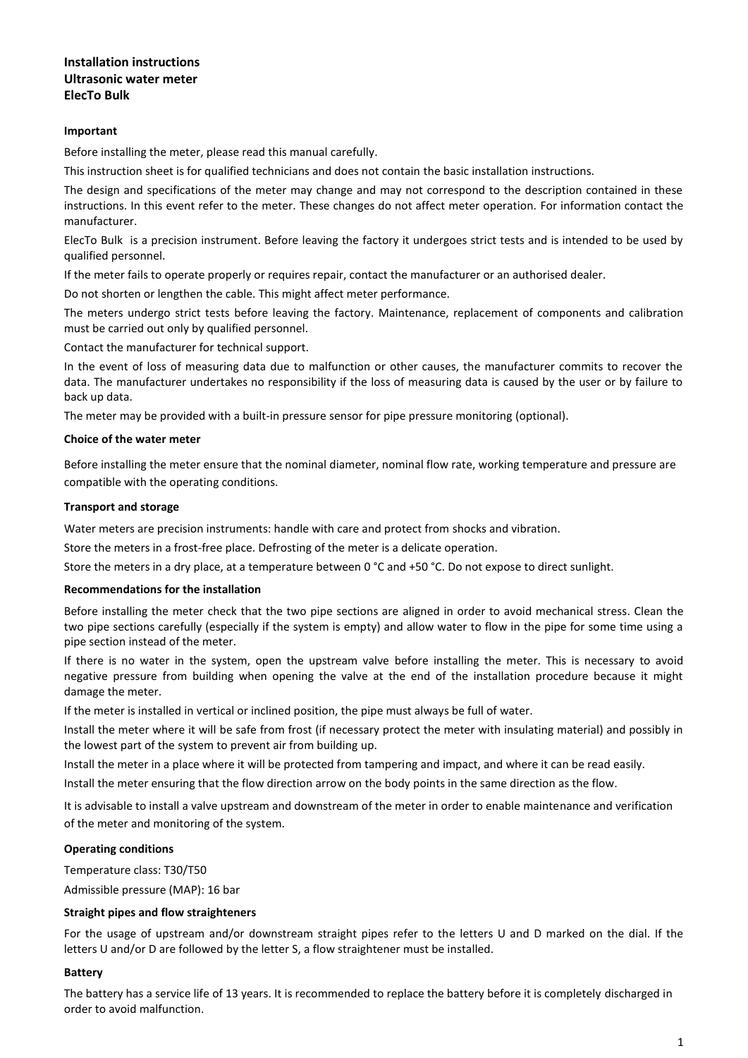# **Installation instructions Ultrasonic water meter ElecTo Bulk**

## **Important**

Before installing the meter, please read this manual carefully.

This instruction sheet is for qualified technicians and does not contain the basic installation instructions.

The design and specifications of the meter may change and may not correspond to the description contained in these instructions. In this event refer to the meter. These changes do not affect meter operation. For information contact the manufacturer.

ElecTo Bulk is a precision instrument. Before leaving the factory it undergoes strict tests and is intended to be used by qualified personnel.

If the meter fails to operate properly or requires repair, contact the manufacturer or an authorised dealer.

Do not shorten or lengthen the cable. This might affect meter performance.

The meters undergo strict tests before leaving the factory. Maintenance, replacement of components and calibration must be carried out only by qualified personnel.

Contact the manufacturer for technical support.

In the event of loss of measuring data due to malfunction or other causes, the manufacturer commits to recover the data. The manufacturer undertakes no responsibility if the loss of measuring data is caused by the user or by failure to back up data.

The meter may be provided with a built-in pressure sensor for pipe pressure monitoring (optional).

## **Choice of the water meter**

Before installing the meter ensure that the nominal diameter, nominal flow rate, working temperature and pressure are compatible with the operating conditions.

## **Transport and storage**

Water meters are precision instruments: handle with care and protect from shocks and vibration.

Store the meters in a frost-free place. Defrosting of the meter is a delicate operation.

Store the meters in a dry place, at a temperature between 0 °C and +50 °C. Do not expose to direct sunlight.

## **Recommendations for the installation**

Before installing the meter check that the two pipe sections are aligned in order to avoid mechanical stress. Clean the two pipe sections carefully (especially if the system is empty) and allow water to flow in the pipe for some time using a pipe section instead of the meter.

If there is no water in the system, open the upstream valve before installing the meter. This is necessary to avoid negative pressure from building when opening the valve at the end of the installation procedure because it might damage the meter.

If the meter is installed in vertical or inclined position, the pipe must always be full of water.

Install the meter where it will be safe from frost (if necessary protect the meter with insulating material) and possibly in the lowest part of the system to prevent air from building up.

Install the meter in a place where it will be protected from tampering and impact, and where it can be read easily.

Install the meter ensuring that the flow direction arrow on the body points in the same direction as the flow.

It is advisable to install a valve upstream and downstream of the meter in order to enable maintenance and verification of the meter and monitoring of the system.

## **Operating conditions**

Temperature class: T30/T50

Admissible pressure (MAP): 16 bar

#### **Straight pipes and flow straighteners**

For the usage of upstream and/or downstream straight pipes refer to the letters U and D marked on the dial. If the letters U and/or D are followed by the letter S, a flow straightener must be installed.

#### **Battery**

The battery has a service life of 13 years. It is recommended to replace the battery before it is completely discharged in order to avoid malfunction.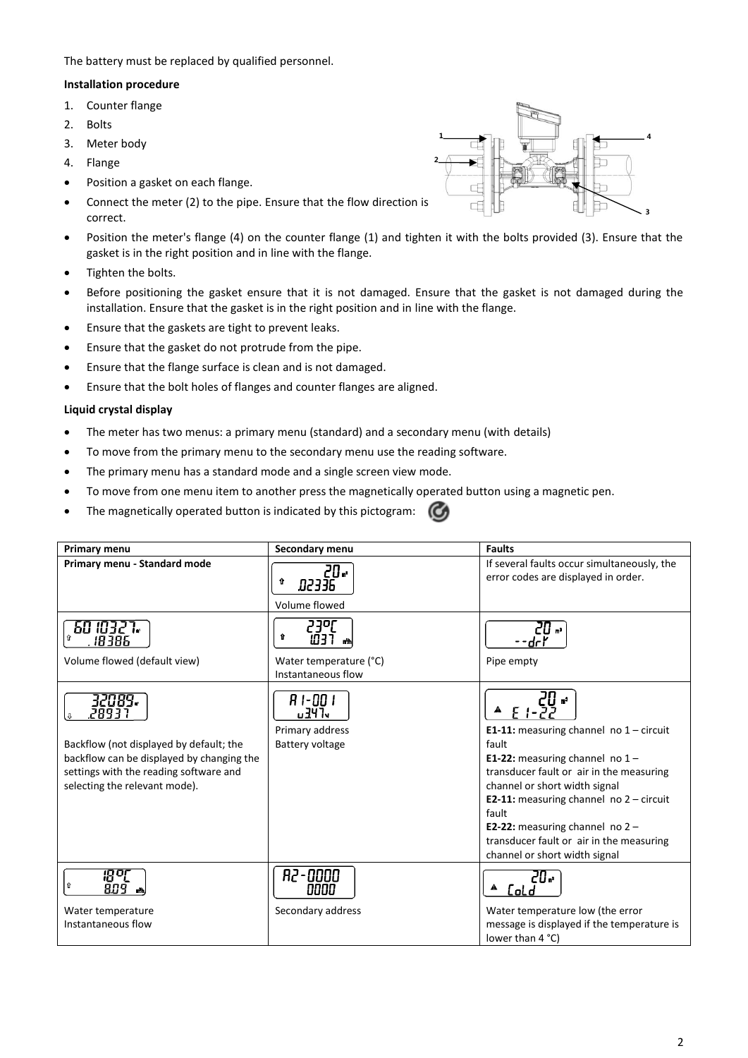The battery must be replaced by qualified personnel.

## **Installation procedure**

- 1. Counter flange
- 2. Bolts
- 3. Meter body
- 4. Flange
- Position a gasket on each flange.
- Connect the meter (2) to the pipe. Ensure that the flow direction is correct.
- Position the meter's flange (4) on the counter flange (1) and tighten it with the bolts provided (3). Ensure that the gasket is in the right position and in line with the flange.
- Tighten the bolts.
- Before positioning the gasket ensure that it is not damaged. Ensure that the gasket is not damaged during the installation. Ensure that the gasket is in the right position and in line with the flange.
- Ensure that the gaskets are tight to prevent leaks.
- Ensure that the gasket do not protrude from the pipe.
- Ensure that the flange surface is clean and is not damaged.
- Ensure that the bolt holes of flanges and counter flanges are aligned.

## **Liquid crystal display**

- The meter has two menus: a primary menu (standard) and a secondary menu (with details)
- To move from the primary menu to the secondary menu use the reading software.
- The primary menu has a standard mode and a single screen view mode.
- To move from one menu item to another press the magnetically operated button using a magnetic pen.
- The magnetically operated button is indicated by this pictogram:  $\mathcal{C}$

| Primary menu                                                                                                                                                                       | Secondary menu                                                      | <b>Faults</b>                                                                                                                                                                                                                                                                                                                                                        |  |  |
|------------------------------------------------------------------------------------------------------------------------------------------------------------------------------------|---------------------------------------------------------------------|----------------------------------------------------------------------------------------------------------------------------------------------------------------------------------------------------------------------------------------------------------------------------------------------------------------------------------------------------------------------|--|--|
| Primary menu - Standard mode                                                                                                                                                       | 20 -<br>↑<br><b>3EESQ</b><br>Volume flowed                          | If several faults occur simultaneously, the<br>error codes are displayed in order.                                                                                                                                                                                                                                                                                   |  |  |
| 60 ID327.<br>18385<br>Volume flowed (default view)                                                                                                                                 | 230[<br>⇧<br>ו‱ ר∃ש<br>Water temperature (°C)<br>Instantaneous flow | د. ااے<br>Pipe empty                                                                                                                                                                                                                                                                                                                                                 |  |  |
| 32089.<br>28931<br>Backflow (not displayed by default; the<br>backflow can be displayed by changing the<br>settings with the reading software and<br>selecting the relevant mode). | 81-001<br><b>u 34 Ty</b><br>Primary address<br>Battery voltage      | E 1-22<br>E1-11: measuring channel no $1$ - circuit<br>fault<br>E1-22: measuring channel no $1 -$<br>transducer fault or air in the measuring<br>channel or short width signal<br><b>E2-11:</b> measuring channel no $2 -$ circuit<br>fault<br><b>E2-22:</b> measuring channel no $2 -$<br>transducer fault or air in the measuring<br>channel or short width signal |  |  |
| ⇧<br>809.<br>Water temperature                                                                                                                                                     | <b>R2-0000</b><br>0000<br>Secondary address                         | 20.<br>CoLd<br>Water temperature low (the error                                                                                                                                                                                                                                                                                                                      |  |  |
| Instantaneous flow                                                                                                                                                                 |                                                                     | message is displayed if the temperature is<br>lower than 4 °C)                                                                                                                                                                                                                                                                                                       |  |  |

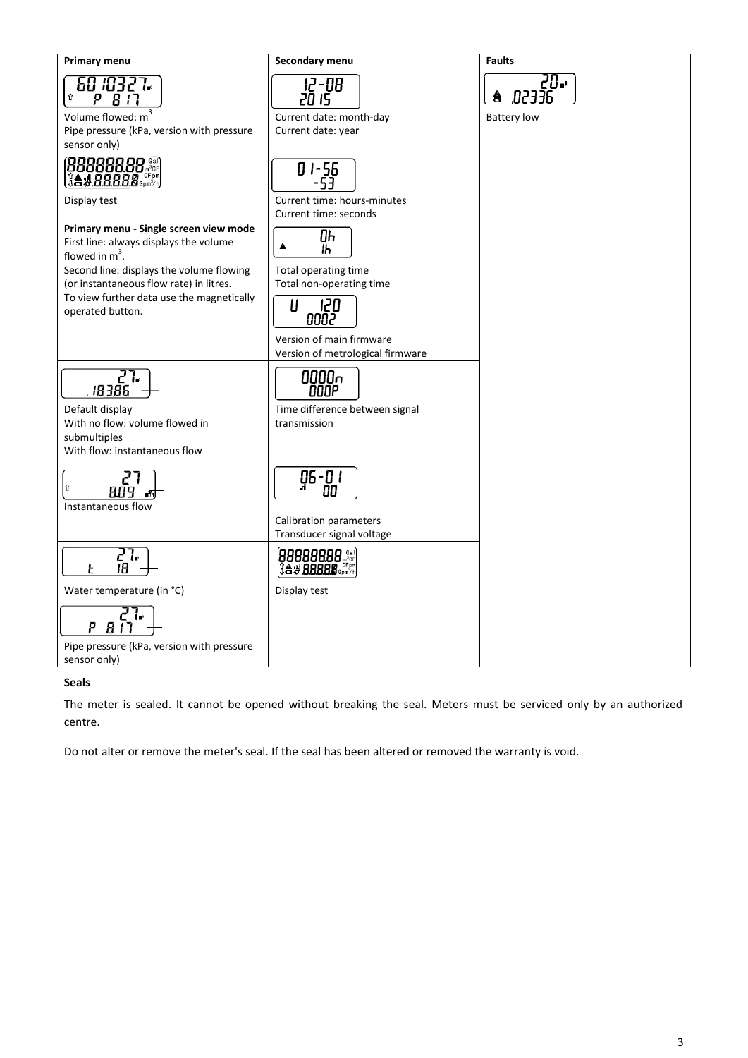| Primary menu                                                                                                                                                                                                        | Secondary menu                                                                                              | <b>Faults</b>                                  |
|---------------------------------------------------------------------------------------------------------------------------------------------------------------------------------------------------------------------|-------------------------------------------------------------------------------------------------------------|------------------------------------------------|
| 60 ID327.<br>⇧<br>P 817<br>Volume flowed: m <sup>3</sup><br>Pipe pressure (kPa, version with pressure<br>sensor only)                                                                                               | 12-08<br>20 15<br>Current date: month-day<br>Current date: year                                             | 20.<br><b>R2336</b><br>â<br><b>Battery low</b> |
| Display test<br>Primary menu - Single screen view mode                                                                                                                                                              | 01-56<br>Current time: hours-minutes<br>Current time: seconds<br>Oh                                         |                                                |
| First line: always displays the volume<br>flowed in $m^3$ .<br>Second line: displays the volume flowing<br>(or instantaneous flow rate) in litres.<br>To view further data use the magnetically<br>operated button. | A<br>ľh<br>Total operating time<br>Total non-operating time<br>Ш<br>120<br>0002<br>Version of main firmware |                                                |
| 55<br>18386<br>Default display<br>With no flow: volume flowed in<br>submultiples<br>With flow: instantaneous flow                                                                                                   | Version of metrological firmware<br>pDDDr<br>סססם<br>Time difference between signal<br>transmission         |                                                |
| ⇧<br>809<br>峏<br>Instantaneous flow                                                                                                                                                                                 | g6-0 i<br><b>Calibration parameters</b><br>Transducer signal voltage                                        |                                                |
| 51.<br>18<br>Water temperature (in °C)<br>Ρ<br>-84<br>Pipe pressure (kPa, version with pressure<br>sensor only)                                                                                                     | 00000000 Series<br>Display test                                                                             |                                                |

# **Seals**

The meter is sealed. It cannot be opened without breaking the seal. Meters must be serviced only by an authorized centre.

Do not alter or remove the meter's seal. If the seal has been altered or removed the warranty is void.